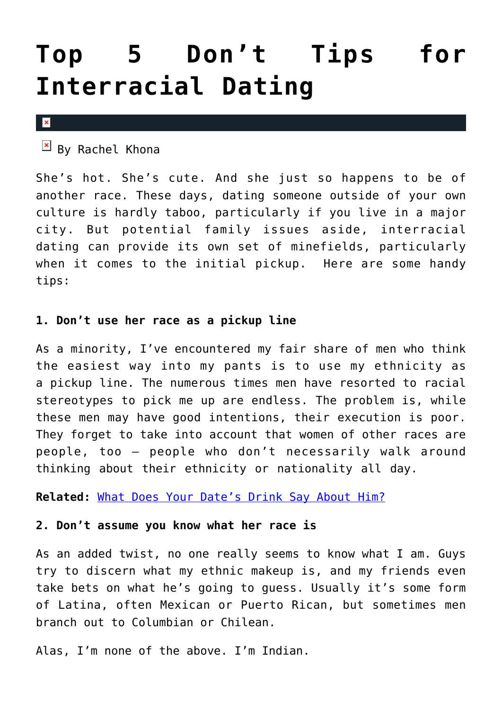# **[Top 5 Don't Tips for](https://cupidspulse.com/30480/dont-tips-interracial-dating/) [Interracial Dating](https://cupidspulse.com/30480/dont-tips-interracial-dating/)**

 $\pmb{\times}$ 

 $\overline{B}$  By Rachel Khona

She's hot. She's cute. And she just so happens to be of another race. These days, dating someone outside of your own culture is hardly taboo, particularly if you live in a major city. But potential family issues aside, interracial dating can provide its own set of minefields, particularly when it comes to the initial pickup. Here are some handy tips:

## **1. Don't use her race as a pickup line**

As a minority, I've encountered my fair share of men who think the easiest way into my pants is to use my ethnicity as a pickup line. The numerous times men have resorted to racial stereotypes to pick me up are endless. The problem is, while these men may have good intentions, their execution is poor. They forget to take into account that women of other races are people, too — people who don't necessarily walk around thinking about their ethnicity or nationality all day.

**Related:** [What Does Your Date's Drink Say About Him?](http://cupidspulse.com/what-does-dates-drink-say-about-him-bartender-love-beer-wine-liquor/)

### **2. Don't assume you know what her race is**

As an added twist, no one really seems to know what I am. Guys try to discern what my ethnic makeup is, and my friends even take bets on what he's going to guess. Usually it's some form of Latina, often Mexican or Puerto Rican, but sometimes men branch out to Columbian or Chilean.

Alas, I'm none of the above. I'm Indian.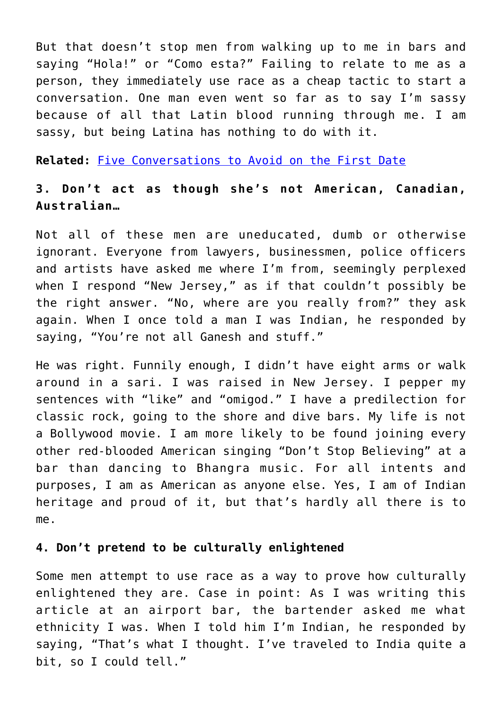But that doesn't stop men from walking up to me in bars and saying "Hola!" or "Como esta?" Failing to relate to me as a person, they immediately use race as a cheap tactic to start a conversation. One man even went so far as to say I'm sassy because of all that Latin blood running through me. I am sassy, but being Latina has nothing to do with it.

**Related:** [Five Conversations to Avoid on the First Date](http://cupidspulse.com/five-conversations-to-avoid-on-first-date/)

## **3. Don't act as though she's not American, Canadian, Australian…**

Not all of these men are uneducated, dumb or otherwise ignorant. Everyone from lawyers, businessmen, police officers and artists have asked me where I'm from, seemingly perplexed when I respond "New Jersey," as if that couldn't possibly be the right answer. "No, where are you really from?" they ask again. When I once told a man I was Indian, he responded by saying, "You're not all Ganesh and stuff."

He was right. Funnily enough, I didn't have eight arms or walk around in a sari. I was raised in New Jersey. I pepper my sentences with "like" and "omigod." I have a predilection for classic rock, going to the shore and dive bars. My life is not a Bollywood movie. I am more likely to be found joining every other red-blooded American singing "Don't Stop Believing" at a bar than dancing to Bhangra music. For all intents and purposes, I am as American as anyone else. Yes, I am of Indian heritage and proud of it, but that's hardly all there is to me.

#### **4. Don't pretend to be culturally enlightened**

Some men attempt to use race as a way to prove how culturally enlightened they are. Case in point: As I was writing this article at an airport bar, the bartender asked me what ethnicity I was. When I told him I'm Indian, he responded by saying, "That's what I thought. I've traveled to India quite a bit, so I could tell."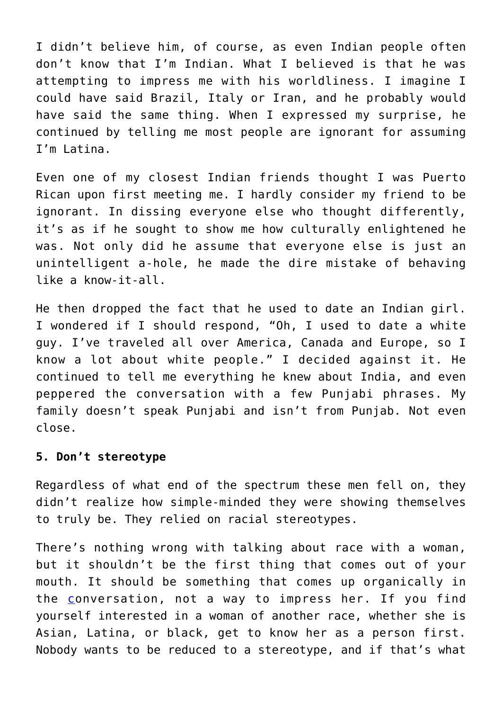I didn't believe him, of course, as even Indian people often don't know that I'm Indian. What I believed is that he was attempting to impress me with his worldliness. I imagine I could have said Brazil, Italy or Iran, and he probably would have said the same thing. When I expressed my surprise, he continued by telling me most people are ignorant for assuming I'm Latina.

Even one of my closest Indian friends thought I was Puerto Rican upon first meeting me. I hardly consider my friend to be ignorant. In dissing everyone else who thought differently, it's as if he sought to show me how culturally enlightened he was. Not only did he assume that everyone else is just an unintelligent a-hole, he made the dire mistake of behaving like a know-it-all.

He then dropped the fact that he used to date an Indian girl. I wondered if I should respond, "Oh, I used to date a white guy. I've traveled all over America, Canada and Europe, so I know a lot about white people." I decided against it. He continued to tell me everything he knew about India, and even peppered the conversation with a few Punjabi phrases. My family doesn't speak Punjabi and isn't from Punjab. Not even close.

#### **5. Don't stereotype**

Regardless of what end of the spectrum these men fell on, they didn't realize how simple-minded they were showing themselves to truly be. They relied on racial stereotypes.

There's nothing wrong with talking about race with a woman, but it shouldn't be the first thing that comes out of your mouth. It should be something that comes up organically in the [c](http://www.askmen.com/money/body_and_mind_150/185_better_living.html)onversation, not a way to impress her. If you find yourself interested in a woman of another race, whether she is Asian, Latina, or black, get to know her as a person first. Nobody wants to be reduced to a stereotype, and if that's what